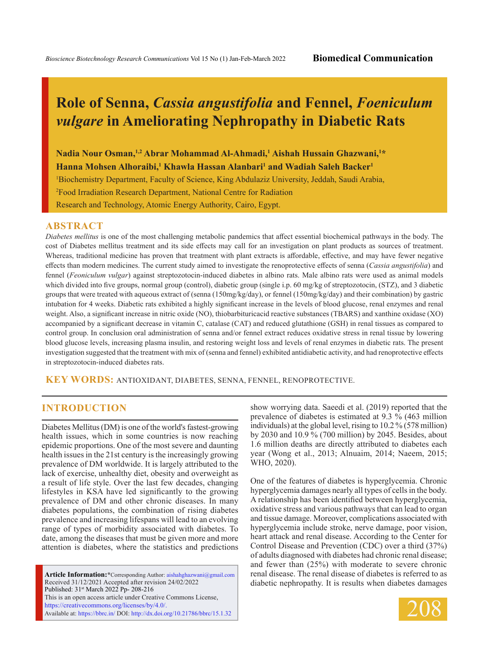# **Role of Senna,** *Cassia angustifolia* **and Fennel,** *Foeniculum vulgare* **in Ameliorating Nephropathy in Diabetic Rats**

Nadia Nour Osman,<sup>1,2</sup> Abrar Mohammad Al-Ahmadi,<sup>1</sup> Aishah Hussain Ghazwani,<sup>1\*</sup> **Hanna Mohsen Alhoraibi,<sup>1</sup> Khawla Hassan Alanbari<sup>1</sup> and Wadiah Saleh Backer<sup>1</sup>** 

1 Biochemistry Department, Faculty of Science, King Abdulaziz University, Jeddah, Saudi Arabia,

2 Food Irradiation Research Department, National Centre for Radiation

Research and Technology, Atomic Energy Authority, Cairo, Egypt.

#### **ABSTRACT**

*Diabetes mellitus* is one of the most challenging metabolic pandemics that affect essential biochemical pathways in the body. The cost of Diabetes mellitus treatment and its side effects may call for an investigation on plant products as sources of treatment. Whereas, traditional medicine has proven that treatment with plant extracts is affordable, effective, and may have fewer negative effects than modern medicines. The current study aimed to investigate the renoprotective effects of senna (*Cassia angustifolia*) and fennel (*Feoniculum vulgar*) against streptozotocin-induced diabetes in albino rats. Male albino rats were used as animal models which divided into five groups, normal group (control), diabetic group (single i.p. 60 mg/kg of streptozotocin, (STZ), and 3 diabetic groups that were treated with aqueous extract of (senna (150mg/kg/day), or fennel (150mg/kg/day) and their combination) by gastric intubation for 4 weeks. Diabetic rats exhibited a highly significant increase in the levels of blood glucose, renal enzymes and renal weight. Also, a significant increase in nitric oxide (NO), thiobarbituricacid reactive substances (TBARS) and xanthine oxidase (XO) accompanied by a significant decrease in vitamin C, catalase (CAT) and reduced glutathione (GSH) in renal tissues as compared to control group. In conclusion oral administration of senna and/or fennel extract reduces oxidative stress in renal tissue by lowering blood glucose levels, increasing plasma insulin, and restoring weight loss and levels of renal enzymes in diabetic rats. The present investigation suggested that the treatment with mix of (senna and fennel) exhibited antidiabetic activity, and had renoprotective effects in streptozotocin-induced diabetes rats.

**KEY WORDS:** Antioxidant, Diabetes, Senna, Fennel, Renoprotective.

#### **INTRODUCTION**

Diabetes Mellitus (DM) is one of the world's fastest-growing health issues, which in some countries is now reaching epidemic proportions. One of the most severe and daunting health issues in the 21st century is the increasingly growing prevalence of DM worldwide. It is largely attributed to the lack of exercise, unhealthy diet, obesity and overweight as a result of life style. Over the last few decades, changing lifestyles in KSA have led significantly to the growing prevalence of DM and other chronic diseases. In many diabetes populations, the combination of rising diabetes prevalence and increasing lifespans will lead to an evolving range of types of morbidity associated with diabetes. To date, among the diseases that must be given more and more attention is diabetes, where the statistics and predictions

**Article Information:\***Corresponding Author: aishahghazwani@gmail.com Received 31/12/2021 Accepted after revision 24/02/2022 Published: 31st March 2022 Pp- 208-216 This is an open access article under Creative Commons License, https://creativecommons.org/licenses/by/4.0/. Available at: https://bbrc.in/ DOI: http://dx.doi.org/10.21786/bbrc/15.1.32

show worrying data. Saeedi et al. (2019) reported that the prevalence of diabetes is estimated at 9.3 % (463 million individuals) at the global level, rising to 10.2 % (578 million) by 2030 and 10.9 % (700 million) by 2045. Besides, about 1.6 million deaths are directly attributed to diabetes each year (Wong et al., 2013; Alnuaim, 2014; Naeem, 2015; WHO, 2020).

One of the features of diabetes is hyperglycemia. Chronic hyperglycemia damages nearly all types of cells in the body. A relationship has been identified between hyperglycemia, oxidative stress and various pathways that can lead to organ and tissue damage. Moreover, complications associated with hyperglycemia include stroke, nerve damage, poor vision, heart attack and renal disease. According to the Center for Control Disease and Prevention (CDC) over a third (37%) of adults diagnosed with diabetes had chronic renal disease; and fewer than (25%) with moderate to severe chronic renal disease. The renal disease of diabetes is referred to as diabetic nephropathy. It is results when diabetes damages

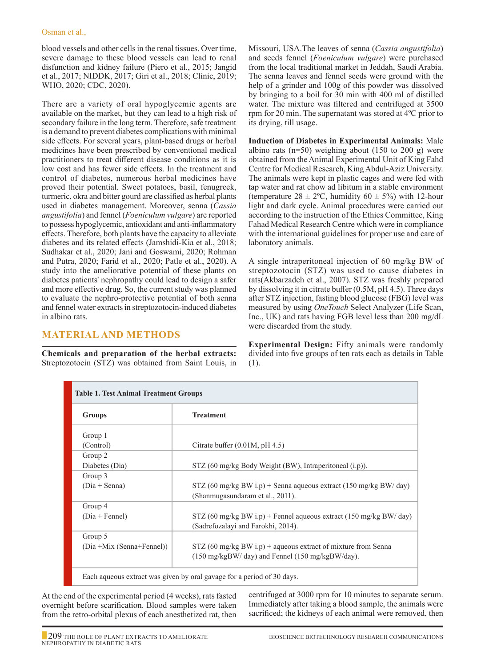blood vessels and other cells in the renal tissues. Over time, severe damage to these blood vessels can lead to renal disfunction and kidney failure (Piero et al., 2015; Jangid et al., 2017; NIDDK, 2017; Giri et al., 2018; Clinic, 2019; WHO, 2020; CDC, 2020).

There are a variety of oral hypoglycemic agents are available on the market, but they can lead to a high risk of secondary failure in the long term. Therefore, safe treatment is a demand to prevent diabetes complications with minimal side effects. For several years, plant-based drugs or herbal medicines have been prescribed by conventional medical practitioners to treat different disease conditions as it is low cost and has fewer side effects. In the treatment and control of diabetes, numerous herbal medicines have proved their potential. Sweet potatoes, basil, fenugreek, turmeric, okra and bitter gourd are classified as herbal plants used in diabetes management. Moreover, senna (*Cassia angustifolia*) and fennel (*Foeniculum vulgare*) are reported to possess hypoglycemic, antioxidant and anti-inflammatory effects. Therefore, both plants have the capacity to alleviate diabetes and its related effects (Jamshidi-Kia et al., 2018; Sudhakar et al., 2020; Jani and Goswami, 2020; Rohman and Putra, 2020; Farid et al., 2020; Patle et al., 2020). A study into the ameliorative potential of these plants on diabetes patients' nephropathy could lead to design a safer and more effective drug. So, the current study was planned to evaluate the nephro-protective potential of both senna and fennel water extracts in streptozotocin-induced diabetes in albino rats.

## **Material and Methods**

**Chemicals and preparation of the herbal extracts:**  Streptozotocin (STZ) was obtained from Saint Louis, in Missouri, USA.The leaves of senna (*Cassia angustifolia*) and seeds fennel (*Foeniculum vulgare*) were purchased from the local traditional market in Jeddah, Saudi Arabia. The senna leaves and fennel seeds were ground with the help of a grinder and 100g of this powder was dissolved by bringing to a boil for 30 min with 400 ml of distilled water. The mixture was filtered and centrifuged at 3500 rpm for 20 min. The supernatant was stored at 4ºC prior to its drying, till usage.

**Induction of Diabetes in Experimental Animals:** Male albino rats ( $n=50$ ) weighing about (150 to 200 g) were obtained from the Animal Experimental Unit of King Fahd Centre for Medical Research, King Abdul-Aziz University. The animals were kept in plastic cages and were fed with tap water and rat chow ad libitum in a stable environment (temperature  $28 \pm 2$ °C, humidity  $60 \pm 5$ %) with 12-hour light and dark cycle. Animal procedures were carried out according to the instruction of the Ethics Committee, King Fahad Medical Research Centre which were in compliance with the international guidelines for proper use and care of laboratory animals.

A single intraperitoneal injection of 60 mg/kg BW of streptozotocin (STZ) was used to cause diabetes in rats(Akbarzadeh et al., 2007). STZ was freshly prepared by dissolving it in citrate buffer (0.5M, pH 4.5). Three days after STZ injection, fasting blood glucose (FBG) level was measured by using *OneTouch* Select Analyzer (Life Scan, Inc., UK) and rats having FGB level less than 200 mg/dL were discarded from the study.

**Experimental Design:** Fifty animals were randomly divided into five groups of ten rats each as details in Table (1).

| <b>Table 1. Test Animal Treatment Groups</b>                           |                                                                                                                     |  |  |  |
|------------------------------------------------------------------------|---------------------------------------------------------------------------------------------------------------------|--|--|--|
| Groups                                                                 | <b>Treatment</b>                                                                                                    |  |  |  |
| Group 1<br>(Control)                                                   | Citrate buffer $(0.01M, pH 4.5)$                                                                                    |  |  |  |
| Group 2<br>Diabetes (Dia)                                              | STZ (60 mg/kg Body Weight (BW), Intraperitoneal (i.p)).                                                             |  |  |  |
| Group 3<br>$(Dia + Senna)$                                             | STZ (60 mg/kg BW i.p) + Senna aqueous extract (150 mg/kg BW/ day)<br>(Shanmugasundaram et al., 2011).               |  |  |  |
| Group 4<br>$(Dia + Female)$                                            | STZ (60 mg/kg BW i.p) + Fennel aqueous extract (150 mg/kg BW/ day)<br>(Sadrefozalayi and Farokhi, 2014).            |  |  |  |
| Group 5<br>(Dia +Mix (Senna+Fennel))                                   | $STZ$ (60 mg/kg BW i.p) + aqueous extract of mixture from Senna<br>(150 mg/kgBW/ day) and Fennel (150 mg/kgBW/day). |  |  |  |
| Each aqueous extract was given by oral gavage for a period of 30 days. |                                                                                                                     |  |  |  |

At the end of the experimental period (4 weeks), rats fasted overnight before scarification. Blood samples were taken from the retro-orbital plexus of each anesthetized rat, then centrifuged at 3000 rpm for 10 minutes to separate serum. Immediately after taking a blood sample, the animals were sacrificed; the kidneys of each animal were removed, then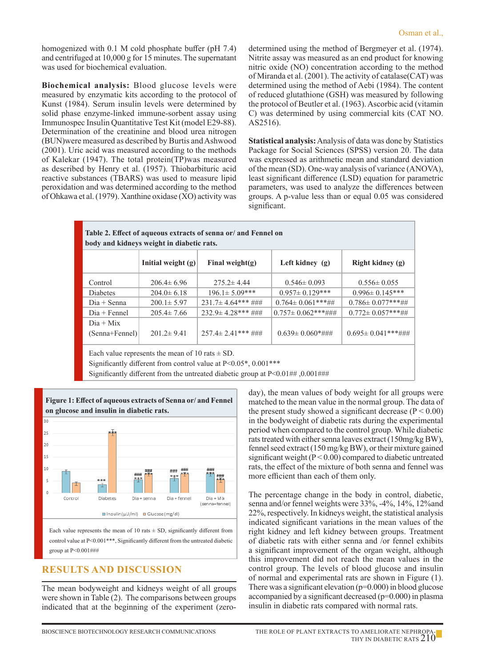homogenized with 0.1 M cold phosphate buffer (pH 7.4) and centrifuged at 10,000 g for 15 minutes. The supernatant was used for biochemical evaluation.

**Biochemical analysis:** Blood glucose levels were measured by enzymatic kits according to the protocol of Kunst (1984). Serum insulin levels were determined by solid phase enzyme-linked immune-sorbent assay using Immunospec Insulin Quantitative Test Kit (model E29-88). Determination of the creatinine and blood urea nitrogen (BUN)were measured as described by Burtis and Ashwood (2001). Uric acid was measured according to the methods of Kalekar (1947). The total protein(TP)was measured as described by Henry et al. (1957). Thiobarbituric acid reactive substances (TBARS) was used to measure lipid peroxidation and was determined according to the method of Ohkawa et al. (1979). Xanthine oxidase (XO) activity was determined using the method of Bergmeyer et al. (1974). Nitrite assay was measured as an end product for knowing nitric oxide (NO) concentration according to the method of Miranda et al. (2001). The activity of catalase(CAT) was determined using the method of Aebi (1984). The content of reduced glutathione (GSH) was measured by following the protocol of Beutler et al. (1963). Ascorbic acid (vitamin C) was determined by using commercial kits (CAT NO. AS2516).

**Statistical analysis:** Analysis of data was done by Statistics Package for Social Sciences (SPSS) version 20. The data was expressed as arithmetic mean and standard deviation of the mean (SD). One-way analysis of variance (ANOVA), least significant difference (LSD) equation for parametric parameters, was used to analyze the differences between groups. A p-value less than or equal 0.05 was considered significant.

| Table 2. Effect of aqueous extracts of senna or/ and Fennel on<br>body and kidneys weight in diabetic rats. |                      |                          |                          |                          |  |
|-------------------------------------------------------------------------------------------------------------|----------------------|--------------------------|--------------------------|--------------------------|--|
|                                                                                                             | Initial weight $(g)$ | Final weight(g)          | Left kidney $(g)$        | Right kidney $(g)$       |  |
| Control                                                                                                     | $206.4 \pm 6.96$     | $275.2 \pm 4.44$         | $0.546 \pm 0.093$        | $0.556 \pm 0.055$        |  |
| <b>Diabetes</b>                                                                                             | $204.0 \pm 6.18$     | $196.1 \pm 5.09$ ***     | $0.957 \pm 0.129$ ***    | $0.996 \pm 0.145$ ***    |  |
| $Dia + Senna$                                                                                               | $200.1 \pm 5.97$     | $231.7\pm 4.64***$ ###   | $0.764 \pm 0.061$ ***##  | $0.786 \pm 0.077$ ***##  |  |
| $Di$ a + Fennel                                                                                             | $205.4 \pm 7.66$     | $232.9 \pm 4.28$ *** ### | $0.757 \pm 0.062$ ***### | $0.772 \pm 0.057$ ***##  |  |
| $Di$ a + Mix<br>$(Senna + Female)$                                                                          | $201.2 \pm 9.41$     | $257.4 \pm 2.41$ *** ### | $0.639 \pm 0.060$ *###   | $0.695 \pm 0.041$ ***### |  |
|                                                                                                             |                      |                          |                          |                          |  |

Each value represents the mean of 10 rats  $\pm$  SD.

Significantly different from control value at  $P<0.05^*$ , 0.001\*\*\*

Significantly different from the untreated diabetic group at P<0.01## ,0.001###



Each value represents the mean of 10 rats  $\pm$  SD, significantly different from control value at P<0.001\*\*\*, Significantly different from the untreated diabetic group at P<0.001###

## **Results and Discussion**

The mean bodyweight and kidneys weight of all groups were shown in Table (2). The comparisons between groups indicated that at the beginning of the experiment (zeroday), the mean values of body weight for all groups were matched to the mean value in the normal group. The data of the present study showed a significant decrease  $(P < 0.00)$ in the bodyweight of diabetic rats during the experimental period when compared to the control group. While diabetic rats treated with either senna leaves extract (150mg/kg BW), fennel seed extract (150 mg/kg BW), or their mixture gained significant weight  $(P < 0.00)$  compared to diabetic untreated rats, the effect of the mixture of both senna and fennel was more efficient than each of them only.

The percentage change in the body in control, diabetic, senna and/or fennel weights were 33%, -4%, 14%, 12%and 22%, respectively. In kidneys weight, the statistical analysis indicated significant variations in the mean values of the right kidney and left kidney between groups. Treatment of diabetic rats with either senna and /or fennel exhibits a significant improvement of the organ weight, although this improvement did not reach the mean values in the control group. The levels of blood glucose and insulin of normal and experimental rats are shown in Figure (1). There was a significant elevation  $(p=0.000)$  in blood glucose accompanied by a significant decreased (p=0.000) in plasma insulin in diabetic rats compared with normal rats.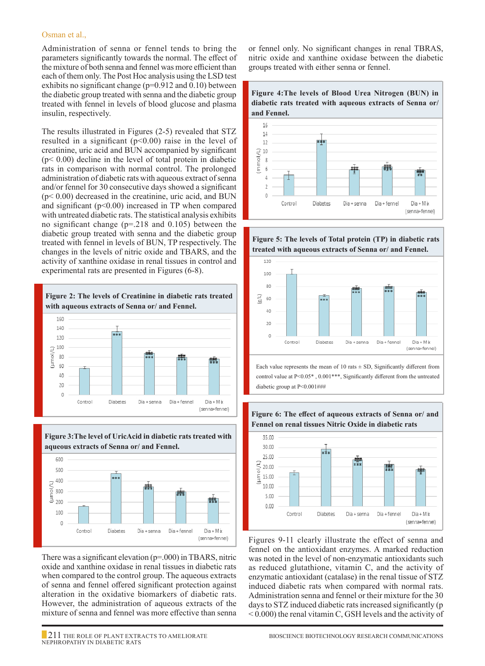#### Osman et al.,

Administration of senna or fennel tends to bring the parameters significantly towards the normal. The effect of the mixture of both senna and fennel was more efficient than each of them only. The Post Hoc analysis using the LSD test exhibits no significant change (p=0.912 and 0.10) between the diabetic group treated with senna and the diabetic group treated with fennel in levels of blood glucose and plasma insulin, respectively.

The results illustrated in Figures (2-5) revealed that STZ resulted in a significant ( $p<0.00$ ) raise in the level of creatinine, uric acid and BUN accompanied by significant  $(p< 0.00)$  decline in the level of total protein in diabetic rats in comparison with normal control. The prolonged administration of diabetic rats with aqueous extract of senna and/or fennel for 30 consecutive days showed a significant  $(p< 0.00)$  decreased in the creatinine, uric acid, and BUN and significant ( $p<0.00$ ) increased in TP when compared with untreated diabetic rats. The statistical analysis exhibits no significant change (p=.218 and 0.105) between the diabetic group treated with senna and the diabetic group treated with fennel in levels of BUN, TP respectively. The changes in the levels of nitric oxide and TBARS, and the activity of xanthine oxidase in renal tissues in control and experimental rats are presented in Figures (6-8).





There was a significant elevation (p=.000) in TBARS, nitric oxide and xanthine oxidase in renal tissues in diabetic rats when compared to the control group. The aqueous extracts of senna and fennel offered significant protection against alteration in the oxidative biomarkers of diabetic rats. However, the administration of aqueous extracts of the mixture of senna and fennel was more effective than senna

or fennel only. No significant changes in renal TBRAS, nitric oxide and xanthine oxidase between the diabetic groups treated with either senna or fennel.



**Figure 5: The levels of Total protein (TP) in diabetic rats treated with aqueous extracts of Senna or/ and Fennel.**



Each value represents the mean of 10 rats  $\pm$  SD, Significantly different from control value at P<0.05\* , 0.001\*\*\*, Significantly different from the untreated diabetic group at P<0.001###

**Figure 6: The effect of aqueous extracts of Senna or/ and** 



Figures 9-11 clearly illustrate the effect of senna and fennel on the antioxidant enzymes. A marked reduction was noted in the level of non-enzymatic antioxidants such as reduced glutathione, vitamin C, and the activity of enzymatic antioxidant (catalase) in the renal tissue of STZ induced diabetic rats when compared with normal rats. Administration senna and fennel or their mixture for the 30 days to STZ induced diabetic rats increased significantly (p < 0.000) the renal vitamin C, GSH levels and the activity of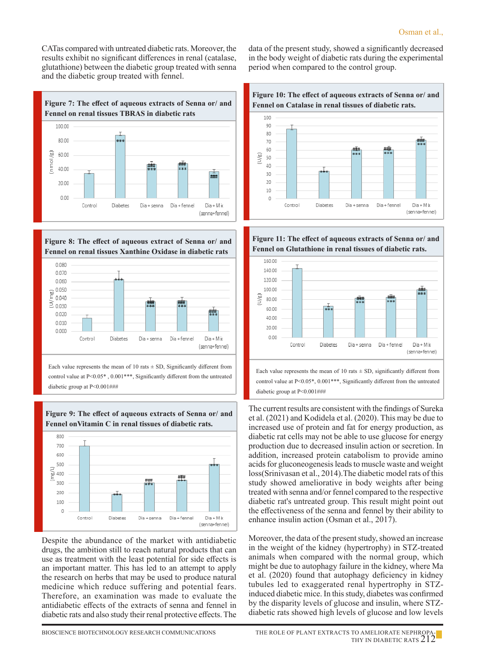CATas compared with untreated diabetic rats. Moreover, the results exhibit no significant differences in renal (catalase, glutathione) between the diabetic group treated with senna and the diabetic group treated with fennel.







Each value represents the mean of 10 rats  $\pm$  SD, Significantly different from control value at P<0.05\*, 0.001\*\*\*, Significantly different from the untreated diabetic group at P<0.001###



Control

Diabetes



Despite the abundance of the market with antidiabetic drugs, the ambition still to reach natural products that can use as treatment with the least potential for side effects is an important matter. This has led to an attempt to apply the research on herbs that may be used to produce natural medicine which reduce suffering and potential fears. Therefore, an examination was made to evaluate the antidiabetic effects of the extracts of senna and fennel in diabetic rats and also study their renal protective effects. The

Dia + senna

Dia + fennel

Dia + M ix

(senna+fennel)

data of the present study, showed a significantly decreased in the body weight of diabetic rats during the experimental period when compared to the control group.



**Figure 11: The effect of aqueous extracts of Senna or/ and Fennel on Glutathione in renal tissues of diabetic rats.**



control value at P<0.05\*, 0.001\*\*\*, Significantly different from the untreated diabetic group at P<0.001###

The current results are consistent with the findings of Sureka et al. (2021) and Kodidela et al. (2020). This may be due to increased use of protein and fat for energy production, as diabetic rat cells may not be able to use glucose for energy production due to decreased insulin action or secretion. In addition, increased protein catabolism to provide amino acids for gluconeogenesis leads to muscle waste and weight loss(Srinivasan et al., 2014).The diabetic model rats of this study showed ameliorative in body weights after being treated with senna and/or fennel compared to the respective diabetic rat's untreated group. This result might point out the effectiveness of the senna and fennel by their ability to enhance insulin action (Osman et al., 2017).

Moreover, the data of the present study, showed an increase in the weight of the kidney (hypertrophy) in STZ-treated animals when compared with the normal group, which might be due to autophagy failure in the kidney, where Ma et al. (2020) found that autophagy deficiency in kidney tubules led to exaggerated renal hypertrophy in STZinduced diabetic mice. In this study, diabetes was confirmed by the disparity levels of glucose and insulin, where STZdiabetic rats showed high levels of glucose and low levels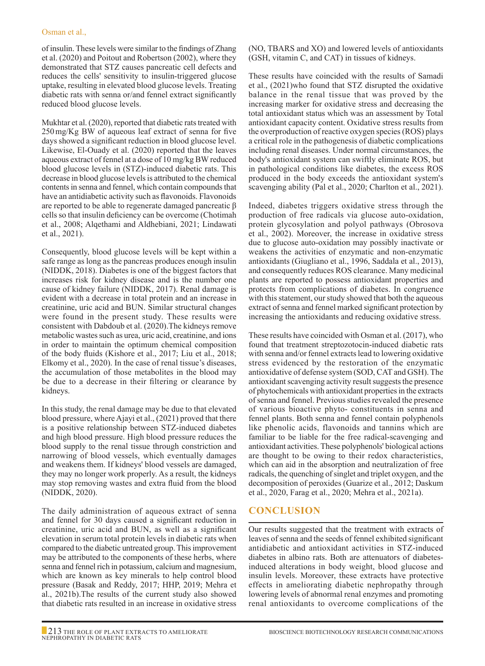of insulin. These levels were similar to the findings of Zhang et al. (2020) and Poitout and Robertson (2002), where they demonstrated that STZ causes pancreatic cell defects and reduces the cells' sensitivity to insulin-triggered glucose uptake, resulting in elevated blood glucose levels. Treating diabetic rats with senna or/and fennel extract significantly reduced blood glucose levels.

Mukhtar et al. (2020), reported that diabetic rats treated with 250mg/Kg BW of aqueous leaf extract of senna for five days showed a significant reduction in blood glucose level. Likewise, El-Ouady et al. (2020) reported that the leaves aqueous extract of fennel at a dose of 10 mg/kg BW reduced blood glucose levels in (STZ)-induced diabetic rats. This decrease in blood glucose levels is attributed to the chemical contents in senna and fennel, which contain compounds that have an antidiabetic activity such as flavonoids. Flavonoids are reported to be able to regenerate damaged pancreatic β cells so that insulin deficiency can be overcome (Chotimah et al., 2008; Alqethami and Aldhebiani, 2021; Lindawati et al., 2021).

Consequently, blood glucose levels will be kept within a safe range as long as the pancreas produces enough insulin (NIDDK, 2018). Diabetes is one of the biggest factors that increases risk for kidney disease and is the number one cause of kidney failure (NIDDK, 2017). Renal damage is evident with a decrease in total protein and an increase in creatinine, uric acid and BUN. Similar structural changes were found in the present study. These results were consistent with Dabdoub et al. (2020).The kidneys remove metabolic wastes such as urea, uric acid, creatinine, and ions in order to maintain the optimum chemical composition of the body fluids (Kishore et al., 2017; Liu et al., 2018; Elkomy et al., 2020). In the case of renal tissue's diseases, the accumulation of those metabolites in the blood may be due to a decrease in their filtering or clearance by kidneys.

In this study, the renal damage may be due to that elevated blood pressure, where Ajayi et al., (2021) proved that there is a positive relationship between STZ-induced diabetes and high blood pressure. High blood pressure reduces the blood supply to the renal tissue through constriction and narrowing of blood vessels, which eventually damages and weakens them. If kidneys' blood vessels are damaged, they may no longer work properly. As a result, the kidneys may stop removing wastes and extra fluid from the blood (NIDDK, 2020).

The daily administration of aqueous extract of senna and fennel for 30 days caused a significant reduction in creatinine, uric acid and BUN, as well as a significant elevation in serum total protein levels in diabetic rats when compared to the diabetic untreated group. This improvement may be attributed to the components of these herbs, where senna and fennel rich in potassium, calcium and magnesium, which are known as key minerals to help control blood pressure (Basak and Reddy, 2017; HHP, 2019; Mehra et al., 2021b).The results of the current study also showed that diabetic rats resulted in an increase in oxidative stress

(NO, TBARS and XO) and lowered levels of antioxidants (GSH, vitamin C, and CAT) in tissues of kidneys.

These results have coincided with the results of Samadi et al., (2021)who found that STZ disrupted the oxidative balance in the renal tissue that was proved by the increasing marker for oxidative stress and decreasing the total antioxidant status which was an assessment by Total antioxidant capacity content. Oxidative stress results from the overproduction of reactive oxygen species (ROS) plays a critical role in the pathogenesis of diabetic complications including renal diseases. Under normal circumstances, the body's antioxidant system can swiftly eliminate ROS, but in pathological conditions like diabetes, the excess ROS produced in the body exceeds the antioxidant system's scavenging ability (Pal et al., 2020; Charlton et al., 2021).

Indeed, diabetes triggers oxidative stress through the production of free radicals via glucose auto-oxidation, protein glycosylation and polyol pathways (Obrosova et al., 2002). Moreover, the increase in oxidative stress due to glucose auto-oxidation may possibly inactivate or weakens the activities of enzymatic and non-enzymatic antioxidants (Giugliano et al., 1996, Saddala et al., 2013), and consequently reduces ROS clearance. Many medicinal plants are reported to possess antioxidant properties and protects from complications of diabetes. In congruence with this statement, our study showed that both the aqueous extract of senna and fennel marked significant protection by increasing the antioxidants and reducing oxidative stress.

These results have coincided with Osman et al. (2017), who found that treatment streptozotocin-induced diabetic rats with senna and/or fennel extracts lead to lowering oxidative stress evidenced by the restoration of the enzymatic antioxidative of defense system (SOD, CAT and GSH). The antioxidant scavenging activity result suggests the presence of phytochemicals with antioxidant properties in the extracts of senna and fennel. Previous studies revealed the presence of various bioactive phyto- constituents in senna and fennel plants. Both senna and fennel contain polyphenols like phenolic acids, flavonoids and tannins which are familiar to be liable for the free radical-scavenging and antioxidant activities. These polyphenols' biological actions are thought to be owing to their redox characteristics, which can aid in the absorption and neutralization of free radicals, the quenching of singlet and triplet oxygen, and the decomposition of peroxides (Guarize et al., 2012; Daskum et al., 2020, Farag et al., 2020; Mehra et al., 2021a).

## **Conclusion**

Our results suggested that the treatment with extracts of leaves of senna and the seeds of fennel exhibited significant antidiabetic and antioxidant activities in STZ-induced diabetes in albino rats. Both are attenuators of diabetesinduced alterations in body weight, blood glucose and insulin levels. Moreover, these extracts have protective effects in ameliorating diabetic nephropathy through lowering levels of abnormal renal enzymes and promoting renal antioxidants to overcome complications of the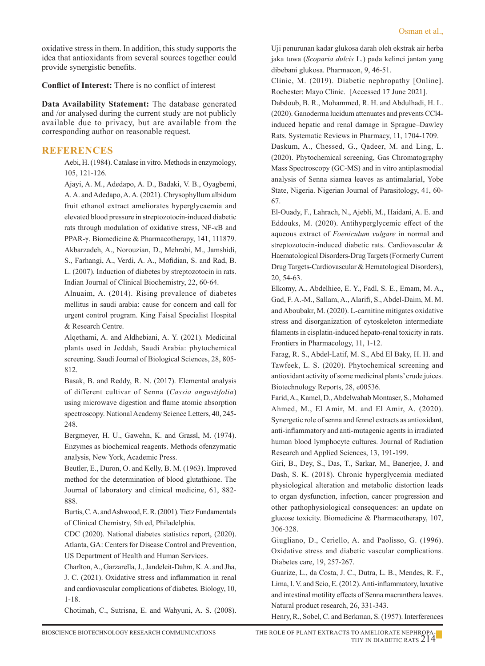oxidative stress in them. In addition, this study supports the idea that antioxidants from several sources together could provide synergistic benefits.

**Conflict of Interest:** There is no conflict of interest

**Data Availability Statement:** The database generated and /or analysed during the current study are not publicly available due to privacy, but are available from the corresponding author on reasonable request.

## **REFERENCES**

Aebi, H. (1984). Catalase in vitro. Methods in enzymology, 105, 121-126.

Ajayi, A. M., Adedapo, A. D., Badaki, V. B., Oyagbemi, A. A. and Adedapo, A. A. (2021). Chrysophyllum albidum fruit ethanol extract ameliorates hyperglycaemia and elevated blood pressure in streptozotocin-induced diabetic rats through modulation of oxidative stress, NF-κB and PPAR-γ. Biomedicine & Pharmacotherapy, 141, 111879. Akbarzadeh, A., Norouzian, D., Mehrabi, M., Jamshidi, S., Farhangi, A., Verdi, A. A., Mofidian, S. and Rad, B. L. (2007). Induction of diabetes by streptozotocin in rats. Indian Journal of Clinical Biochemistry, 22, 60-64.

Alnuaim, A. (2014). Rising prevalence of diabetes mellitus in saudi arabia: cause for concern and call for urgent control program. King Faisal Specialist Hospital & Research Centre.

Alqethami, A. and Aldhebiani, A. Y. (2021). Medicinal plants used in Jeddah, Saudi Arabia: phytochemical screening. Saudi Journal of Biological Sciences, 28, 805- 812.

Basak, B. and Reddy, R. N. (2017). Elemental analysis of different cultivar of Senna (*Cassia angustifolia*) using microwave digestion and flame atomic absorption spectroscopy. National Academy Science Letters, 40, 245- 248.

Bergmeyer, H. U., Gawehn, K. and Grassl, M. (1974). Enzymes as biochemical reagents. Methods ofenzymatic analysis, New York, Academic Press.

Beutler, E., Duron, O. and Kelly, B. M. (1963). Improved method for the determination of blood glutathione. The Journal of laboratory and clinical medicine, 61, 882- 888.

Burtis, C. A. and Ashwood, E. R. (2001). Tietz Fundamentals of Clinical Chemistry, 5th ed, Philadelphia.

CDC (2020). National diabetes statistics report, (2020). Atlanta, GA: Centers for Disease Control and Prevention, US Department of Health and Human Services.

Charlton, A., Garzarella, J., Jandeleit-Dahm, K. A. and Jha, J. C. (2021). Oxidative stress and inflammation in renal and cardiovascular complications of diabetes. Biology, 10, 1-18.

Chotimah, C., Sutrisna, E. and Wahyuni, A. S. (2008).

Uji penurunan kadar glukosa darah oleh ekstrak air herba jaka tuwa (*Scoparia dulcis* L.) pada kelinci jantan yang dibebani glukosa. Pharmacon, 9, 46-51.

Clinic, M. (2019). Diabetic nephropathy [Online]. Rochester: Mayo Clinic. [Accessed 17 June 2021].

Dabdoub, B. R., Mohammed, R. H. and Abdulhadi, H. L. (2020). Ganoderma lucidum attenuates and prevents CCl4 induced hepatic and renal damage in Sprague–Dawley Rats. Systematic Reviews in Pharmacy, 11, 1704-1709.

Daskum, A., Chessed, G., Qadeer, M. and Ling, L. (2020). Phytochemical screening, Gas Chromatography Mass Spectroscopy (GC-MS) and in vitro antiplasmodial analysis of Senna siamea leaves as antimalarial, Yobe State, Nigeria. Nigerian Journal of Parasitology, 41, 60- 67.

 El-Ouady, F., Lahrach, N., Ajebli, M., Haidani, A. E. and Eddouks, M. (2020). Antihyperglycemic effect of the aqueous extract of *Foeniculum vulgare* in normal and streptozotocin-induced diabetic rats. Cardiovascular & Haematological Disorders-Drug Targets (Formerly Current Drug Targets-Cardiovascular & Hematological Disorders), 20, 54-63.

 Elkomy, A., Abdelhiee, E. Y., Fadl, S. E., Emam, M. A., Gad, F. A.-M., Sallam, A., Alarifi, S., Abdel-Daim, M. M. and Aboubakr, M. (2020). L-carnitine mitigates oxidative stress and disorganization of cytoskeleton intermediate filaments in cisplatin-induced hepato-renal toxicity in rats. Frontiers in Pharmacology, 11, 1-12.

Farag, R. S., Abdel-Latif, M. S., Abd El Baky, H. H. and Tawfeek, L. S. (2020). Phytochemical screening and antioxidant activity of some medicinal plants' crude juices. Biotechnology Reports, 28, e00536.

Farid, A., Kamel, D., Abdelwahab Montaser, S., Mohamed Ahmed, M., El Amir, M. and El Amir, A. (2020). Synergetic role of senna and fennel extracts as antioxidant, anti-inflammatory and anti-mutagenic agents in irradiated human blood lymphocyte cultures. Journal of Radiation Research and Applied Sciences, 13, 191-199.

Giri, B., Dey, S., Das, T., Sarkar, M., Banerjee, J. and Dash, S. K. (2018). Chronic hyperglycemia mediated physiological alteration and metabolic distortion leads to organ dysfunction, infection, cancer progression and other pathophysiological consequences: an update on glucose toxicity. Biomedicine & Pharmacotherapy, 107, 306-328.

Giugliano, D., Ceriello, A. and Paolisso, G. (1996). Oxidative stress and diabetic vascular complications. Diabetes care, 19, 257-267.

Guarize, L., da Costa, J. C., Dutra, L. B., Mendes, R. F., Lima, I. V. and Scio, E. (2012). Anti-inflammatory, laxative and intestinal motility effects of Senna macranthera leaves. Natural product research, 26, 331-343.

Henry, R., Sobel, C. and Berkman, S. (1957). Interferences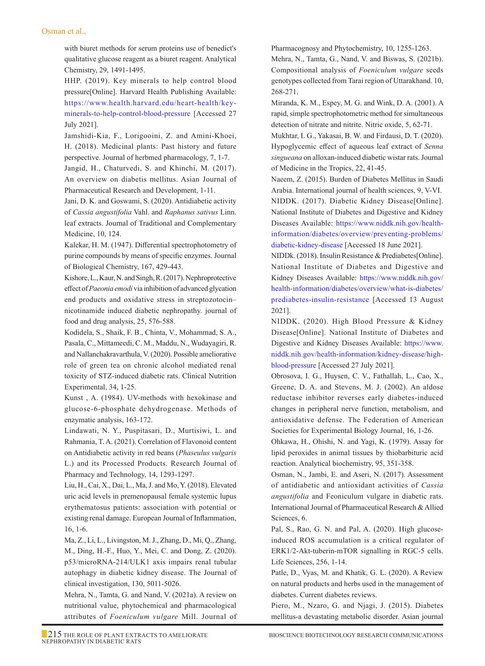#### Osman et al.,

with biuret methods for serum proteins use of benedict's qualitative glucose reagent as a biuret reagent. Analytical Chemistry, 29, 1491-1495.

HHP. (2019). Key minerals to help control blood pressure[Online]. Harvard Health Publishing Available: https://www.health.harvard.edu/heart-health/keyminerals-to-help-control-blood-pressure [Accessed 27 July 2021].

Jamshidi-Kia, F., Lorigooini, Z. and Amini-Khoei, H. (2018). Medicinal plants: Past history and future perspective. Journal of herbmed pharmacology, 7, 1-7.

Jangid, H., Chaturvedi, S. and Khinchi, M. (2017). An overview on diabetis mellitus. Asian Journal of Pharmaceutical Research and Development, 1-11.

Jani, D. K. and Goswami, S. (2020). Antidiabetic activity of *Cassia angustifolia* Vahl. and *Raphanus sativus* Linn. leaf extracts. Journal of Traditional and Complementary Medicine, 10, 124.

Kalekar, H. M. (1947). Differential spectrophotometry of purine compounds by means of specific enzymes. Journal of Biological Chemistry, 167, 429-443.

Kishore, L., Kaur, N. and Singh, R. (2017). Nephroprotective effect of *Paeonia emodi* via inhibition of advanced glycation end products and oxidative stress in streptozotocin– nicotinamide induced diabetic nephropathy. journal of food and drug analysis, 25, 576-588.

Kodidela, S., Shaik, F. B., Chinta, V., Mohammad, S. A., Pasala, C., Mittameedi, C. M., Maddu, N., Wudayagiri, R. and Nallanchakravarthula, V. (2020). Possible ameliorative role of green tea on chronic alcohol mediated renal toxicity of STZ-induced diabetic rats. Clinical Nutrition Experimental, 34, 1-25.

Kunst , A. (1984). UV-methods with hexokinase and glucose-6-phosphate dehydrogenase. Methods of enzymatic analysis, 163-172.

 Lindawati, N. Y., Puspitasari, D., Murtisiwi, L. and Rahmania, T. A. (2021). Correlation of Flavonoid content on Antidiabetic activity in red beans (*Phaseulus vulgaris* L.) and its Processed Products. Research Journal of Pharmacy and Technology, 14, 1293-1297.

 Liu, H., Cai, X., Dai, L., Ma, J. and Mo, Y. (2018). Elevated uric acid levels in premenopausal female systemic lupus erythematosus patients: association with potential or existing renal damage. European Journal of Inflammation, 16, 1-6.

Ma, Z., Li, L., Livingston, M. J., Zhang, D., Mi, Q., Zhang, M., Ding, H.-F., Huo, Y., Mei, C. and Dong, Z. (2020). p53/microRNA-214/ULK1 axis impairs renal tubular autophagy in diabetic kidney disease. The Journal of clinical investigation, 130, 5011-5026.

Mehra, N., Tamta, G. and Nand, V. (2021a). A review on nutritional value, phytochemical and pharmacological attributes of *Foeniculum vulgare* Mill. Journal of Pharmacognosy and Phytochemistry, 10, 1255-1263.

Mehra, N., Tamta, G., Nand, V. and Biswas, S. (2021b). Compositional analysis of *Foeniculum vulgare* seeds genotypes collected from Tarai region of Uttarakhand. 10, 268-271.

Miranda, K. M., Espey, M. G. and Wink, D. A. (2001). A rapid, simple spectrophotometric method for simultaneous detection of nitrate and nitrite. Nitric oxide, 5, 62-71.

Mukhtar, I. G., Yakasai, B. W. and Firdausi, D. T. (2020). Hypoglycemic effect of aqueous leaf extract of *Senna singueana* on alloxan-induced diabetic wistar rats. Journal of Medicine in the Tropics, 22, 41-45.

Naeem, Z. (2015). Burden of Diabetes Mellitus in Saudi Arabia. International journal of health sciences, 9, V-VI. NIDDK. (2017). Diabetic Kidney Disease[Online]. National Institute of Diabetes and Digestive and Kidney Diseases Available: https://www.niddk.nih.gov/healthinformation/diabetes/overview/preventing-problems/ diabetic-kidney-disease [Accessed 18 June 2021].

NIDDk. (2018). Insulin Resistance & Prediabetes[Online]. National Institute of Diabetes and Digestive and Kidney Diseases Available: https://www.niddk.nih.gov/ health-information/diabetes/overview/what-is-diabetes/ prediabetes-insulin-resistance [Accessed 13 August 2021].

NIDDK. (2020). High Blood Pressure & Kidney Disease[Online]. National Institute of Diabetes and Digestive and Kidney Diseases Available: https://www. niddk.nih.gov/health-information/kidney-disease/highblood-pressure [Accessed 27 July 2021].

Obrosova, I. G., Huysen, C. V., Fathallah, L., Cao, X., Greene, D. A. and Stevens, M. J. (2002). An aldose reductase inhibitor reverses early diabetes‐induced changes in peripheral nerve function, metabolism, and antioxidative defense. The Federation of American Societies for Experimental Biology Journal, 16, 1-26.

Ohkawa, H., Ohishi, N. and Yagi, K. (1979). Assay for lipid peroxides in animal tissues by thiobarbituric acid reaction. Analytical biochemistry, 95, 351-358.

Osman, N., Jambi, E. and Aseri, N. (2017). Assessment of antidiabetic and antioxidant activities of *Cassia angustifolia* and Feoniculum vulgare in diabetic rats. International Journal of Pharmaceutical Research & Allied Sciences, 6.

 Pal, S., Rao, G. N. and Pal, A. (2020). High glucoseinduced ROS accumulation is a critical regulator of ERK1/2-Akt-tuberin-mTOR signalling in RGC-5 cells. Life Sciences, 256, 1-14.

 Patle, D., Vyas, M. and Khatik, G. L. (2020). A Review on natural products and herbs used in the management of diabetes. Current diabetes reviews.

 Piero, M., Nzaro, G. and Njagi, J. (2015). Diabetes mellitus-a devastating metabolic disorder. Asian journal